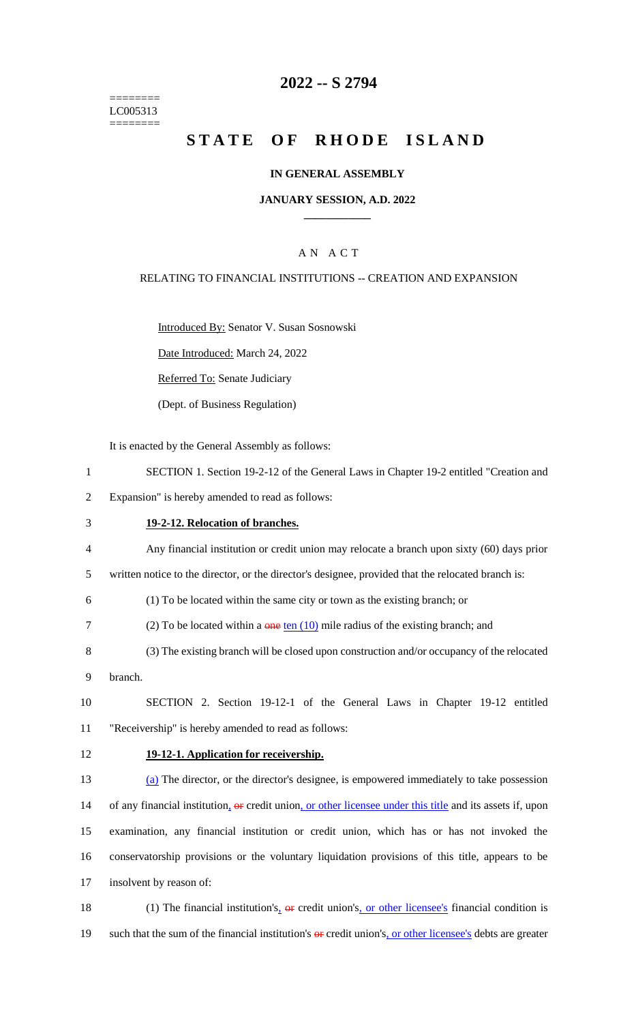======== LC005313 ========

# **2022 -- S 2794**

# **STATE OF RHODE ISLAND**

#### **IN GENERAL ASSEMBLY**

### **JANUARY SESSION, A.D. 2022 \_\_\_\_\_\_\_\_\_\_\_\_**

## A N A C T

#### RELATING TO FINANCIAL INSTITUTIONS -- CREATION AND EXPANSION

Introduced By: Senator V. Susan Sosnowski

Date Introduced: March 24, 2022

Referred To: Senate Judiciary

(Dept. of Business Regulation)

It is enacted by the General Assembly as follows:

- 1 SECTION 1. Section 19-2-12 of the General Laws in Chapter 19-2 entitled "Creation and
- 2 Expansion" is hereby amended to read as follows:
- 3 **19-2-12. Relocation of branches.**
- 4 Any financial institution or credit union may relocate a branch upon sixty (60) days prior
- 5 written notice to the director, or the director's designee, provided that the relocated branch is:

6 (1) To be located within the same city or town as the existing branch; or

- 7 (2) To be located within a  $\theta$  one ten (10) mile radius of the existing branch; and
- 8 (3) The existing branch will be closed upon construction and/or occupancy of the relocated
- 9 branch.

10 SECTION 2. Section 19-12-1 of the General Laws in Chapter 19-12 entitled 11 "Receivership" is hereby amended to read as follows:

#### 12 **19-12-1. Application for receivership.**

 (a) The director, or the director's designee, is empowered immediately to take possession 14 of any financial institution, or credit union, or other licensee under this title and its assets if, upon examination, any financial institution or credit union, which has or has not invoked the conservatorship provisions or the voluntary liquidation provisions of this title, appears to be insolvent by reason of:

18 (1) The financial institution's,  $\theta$  er credit union's, or other licensee's financial condition is 19 such that the sum of the financial institution's  $\theta$  credit union's, or other licensee's debts are greater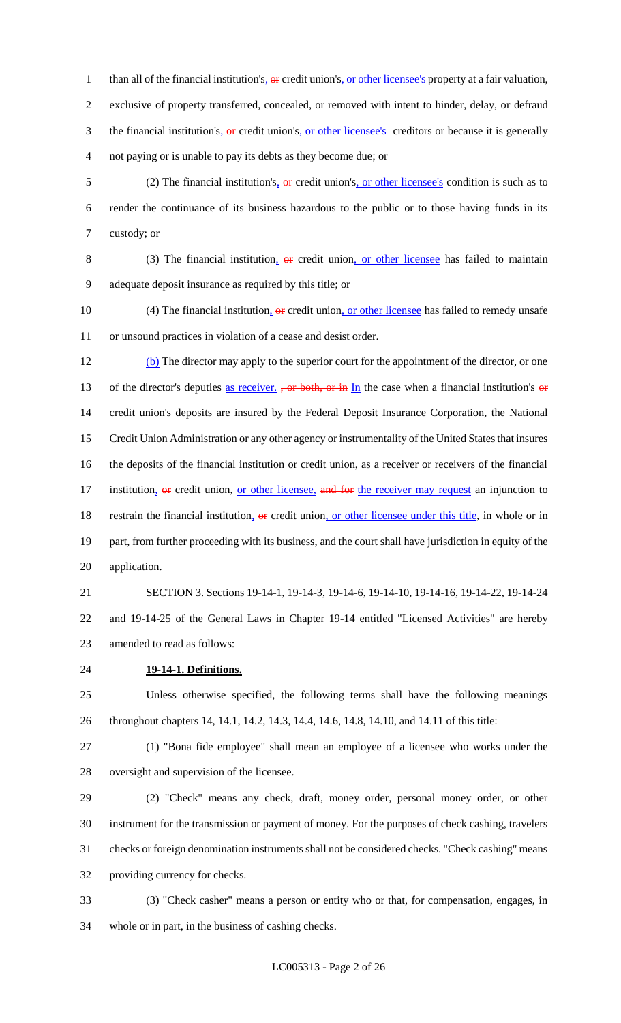1 than all of the financial institution's,  $\Theta$  credit union's, or other licensee's property at a fair valuation, exclusive of property transferred, concealed, or removed with intent to hinder, delay, or defraud 3 the financial institution's<sub>1</sub> or credit union's<sub>1</sub> or other licensee's creditors or because it is generally not paying or is unable to pay its debts as they become due; or

5 (2) The financial institution's<sub><sup>1</sup></sub> or credit union's<sub>1</sub> or other licensee's condition is such as to render the continuance of its business hazardous to the public or to those having funds in its custody; or

8 (3) The financial institution,  $\theta$  eredit union, or other licensee has failed to maintain adequate deposit insurance as required by this title; or

10 (4) The financial institution,  $\Theta$  credit union, or other licensee has failed to remedy unsafe or unsound practices in violation of a cease and desist order.

12 (b) The director may apply to the superior court for the appointment of the director, or one 13 of the director's deputies as receiver. , or both, or in In the case when a financial institution's or credit union's deposits are insured by the Federal Deposit Insurance Corporation, the National Credit Union Administration or any other agency or instrumentality of the United States that insures the deposits of the financial institution or credit union, as a receiver or receivers of the financial 17 institution, or credit union, or other licensee, and for the receiver may request an injunction to 18 restrain the financial institution, or credit union, or other licensee under this title, in whole or in part, from further proceeding with its business, and the court shall have jurisdiction in equity of the application.

 SECTION 3. Sections 19-14-1, 19-14-3, 19-14-6, 19-14-10, 19-14-16, 19-14-22, 19-14-24 and 19-14-25 of the General Laws in Chapter 19-14 entitled "Licensed Activities" are hereby amended to read as follows:

**19-14-1. Definitions.**

 Unless otherwise specified, the following terms shall have the following meanings throughout chapters 14, 14.1, 14.2, 14.3, 14.4, 14.6, 14.8, 14.10, and 14.11 of this title:

 (1) "Bona fide employee" shall mean an employee of a licensee who works under the oversight and supervision of the licensee.

 (2) "Check" means any check, draft, money order, personal money order, or other instrument for the transmission or payment of money. For the purposes of check cashing, travelers checks or foreign denomination instruments shall not be considered checks. "Check cashing" means providing currency for checks.

 (3) "Check casher" means a person or entity who or that, for compensation, engages, in whole or in part, in the business of cashing checks.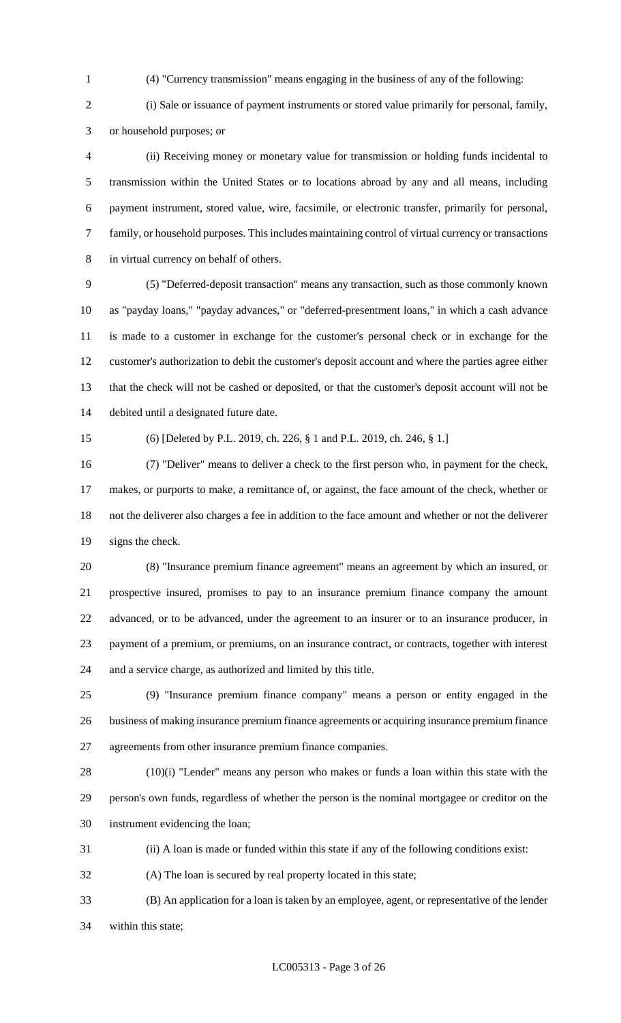(4) "Currency transmission" means engaging in the business of any of the following:

 (i) Sale or issuance of payment instruments or stored value primarily for personal, family, or household purposes; or

 (ii) Receiving money or monetary value for transmission or holding funds incidental to transmission within the United States or to locations abroad by any and all means, including payment instrument, stored value, wire, facsimile, or electronic transfer, primarily for personal, family, or household purposes. This includes maintaining control of virtual currency or transactions in virtual currency on behalf of others.

 (5) "Deferred-deposit transaction" means any transaction, such as those commonly known as "payday loans," "payday advances," or "deferred-presentment loans," in which a cash advance is made to a customer in exchange for the customer's personal check or in exchange for the customer's authorization to debit the customer's deposit account and where the parties agree either that the check will not be cashed or deposited, or that the customer's deposit account will not be debited until a designated future date.

(6) [Deleted by P.L. 2019, ch. 226, § 1 and P.L. 2019, ch. 246, § 1.]

 (7) "Deliver" means to deliver a check to the first person who, in payment for the check, makes, or purports to make, a remittance of, or against, the face amount of the check, whether or not the deliverer also charges a fee in addition to the face amount and whether or not the deliverer signs the check.

 (8) "Insurance premium finance agreement" means an agreement by which an insured, or prospective insured, promises to pay to an insurance premium finance company the amount advanced, or to be advanced, under the agreement to an insurer or to an insurance producer, in payment of a premium, or premiums, on an insurance contract, or contracts, together with interest and a service charge, as authorized and limited by this title.

 (9) "Insurance premium finance company" means a person or entity engaged in the business of making insurance premium finance agreements or acquiring insurance premium finance agreements from other insurance premium finance companies.

 (10)(i) "Lender" means any person who makes or funds a loan within this state with the person's own funds, regardless of whether the person is the nominal mortgagee or creditor on the instrument evidencing the loan;

(ii) A loan is made or funded within this state if any of the following conditions exist:

(A) The loan is secured by real property located in this state;

 (B) An application for a loan is taken by an employee, agent, or representative of the lender within this state;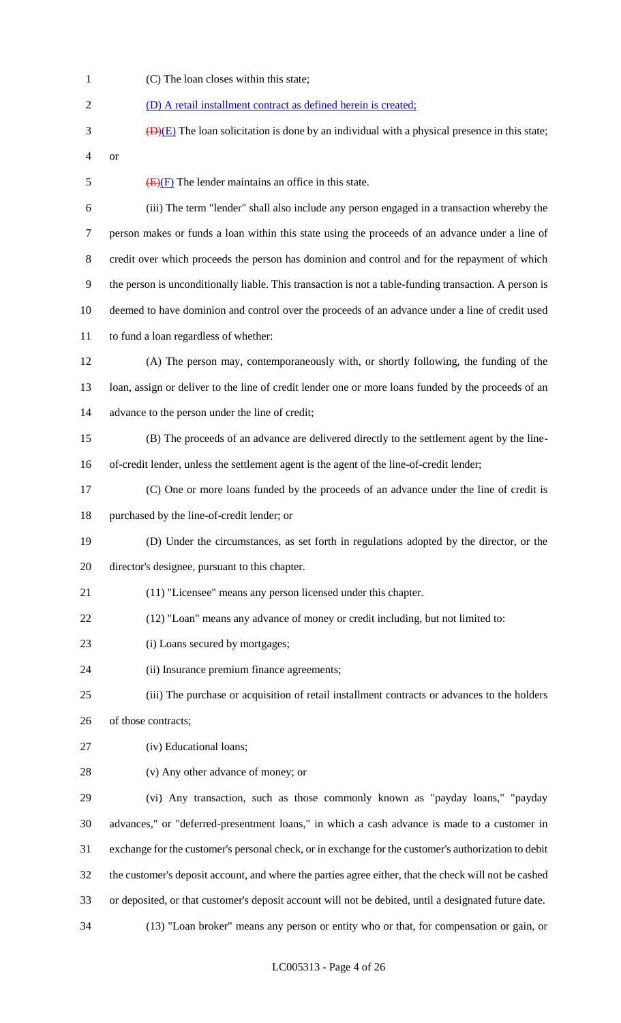(C) The loan closes within this state; (D) A retail installment contract as defined herein is created;  $\overline{(D)(E)}$  The loan solicitation is done by an individual with a physical presence in this state; or  $\overline{(E)(F)}$  The lender maintains an office in this state. (iii) The term "lender" shall also include any person engaged in a transaction whereby the person makes or funds a loan within this state using the proceeds of an advance under a line of credit over which proceeds the person has dominion and control and for the repayment of which the person is unconditionally liable. This transaction is not a table-funding transaction. A person is deemed to have dominion and control over the proceeds of an advance under a line of credit used to fund a loan regardless of whether: (A) The person may, contemporaneously with, or shortly following, the funding of the loan, assign or deliver to the line of credit lender one or more loans funded by the proceeds of an advance to the person under the line of credit; (B) The proceeds of an advance are delivered directly to the settlement agent by the line- of-credit lender, unless the settlement agent is the agent of the line-of-credit lender; (C) One or more loans funded by the proceeds of an advance under the line of credit is purchased by the line-of-credit lender; or (D) Under the circumstances, as set forth in regulations adopted by the director, or the director's designee, pursuant to this chapter. (11) "Licensee" means any person licensed under this chapter. (12) "Loan" means any advance of money or credit including, but not limited to: 23 (i) Loans secured by mortgages; (ii) Insurance premium finance agreements; (iii) The purchase or acquisition of retail installment contracts or advances to the holders of those contracts; (iv) Educational loans; (v) Any other advance of money; or (vi) Any transaction, such as those commonly known as "payday loans," "payday advances," or "deferred-presentment loans," in which a cash advance is made to a customer in exchange for the customer's personal check, or in exchange for the customer's authorization to debit the customer's deposit account, and where the parties agree either, that the check will not be cashed or deposited, or that customer's deposit account will not be debited, until a designated future date. (13) "Loan broker" means any person or entity who or that, for compensation or gain, or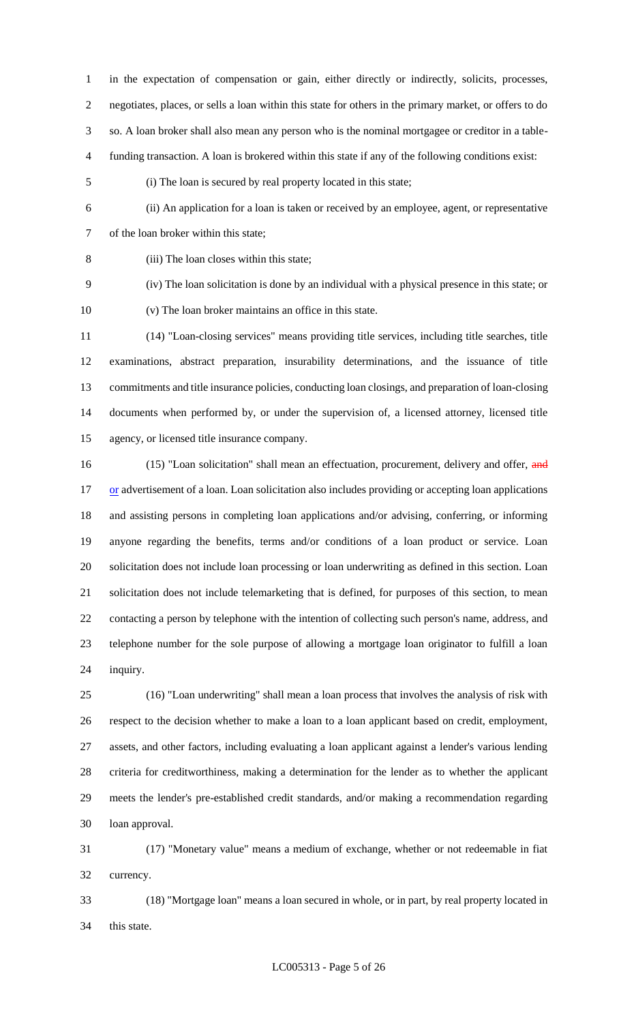in the expectation of compensation or gain, either directly or indirectly, solicits, processes, negotiates, places, or sells a loan within this state for others in the primary market, or offers to do so. A loan broker shall also mean any person who is the nominal mortgagee or creditor in a table-funding transaction. A loan is brokered within this state if any of the following conditions exist:

(i) The loan is secured by real property located in this state;

 (ii) An application for a loan is taken or received by an employee, agent, or representative of the loan broker within this state;

(iii) The loan closes within this state;

 (iv) The loan solicitation is done by an individual with a physical presence in this state; or (v) The loan broker maintains an office in this state.

 (14) "Loan-closing services" means providing title services, including title searches, title examinations, abstract preparation, insurability determinations, and the issuance of title commitments and title insurance policies, conducting loan closings, and preparation of loan-closing documents when performed by, or under the supervision of, a licensed attorney, licensed title agency, or licensed title insurance company.

16 (15) "Loan solicitation" shall mean an effectuation, procurement, delivery and offer, and 17 or advertisement of a loan. Loan solicitation also includes providing or accepting loan applications and assisting persons in completing loan applications and/or advising, conferring, or informing anyone regarding the benefits, terms and/or conditions of a loan product or service. Loan solicitation does not include loan processing or loan underwriting as defined in this section. Loan solicitation does not include telemarketing that is defined, for purposes of this section, to mean contacting a person by telephone with the intention of collecting such person's name, address, and telephone number for the sole purpose of allowing a mortgage loan originator to fulfill a loan inquiry.

 (16) "Loan underwriting" shall mean a loan process that involves the analysis of risk with respect to the decision whether to make a loan to a loan applicant based on credit, employment, assets, and other factors, including evaluating a loan applicant against a lender's various lending criteria for creditworthiness, making a determination for the lender as to whether the applicant meets the lender's pre-established credit standards, and/or making a recommendation regarding loan approval.

 (17) "Monetary value" means a medium of exchange, whether or not redeemable in fiat currency.

 (18) "Mortgage loan" means a loan secured in whole, or in part, by real property located in this state.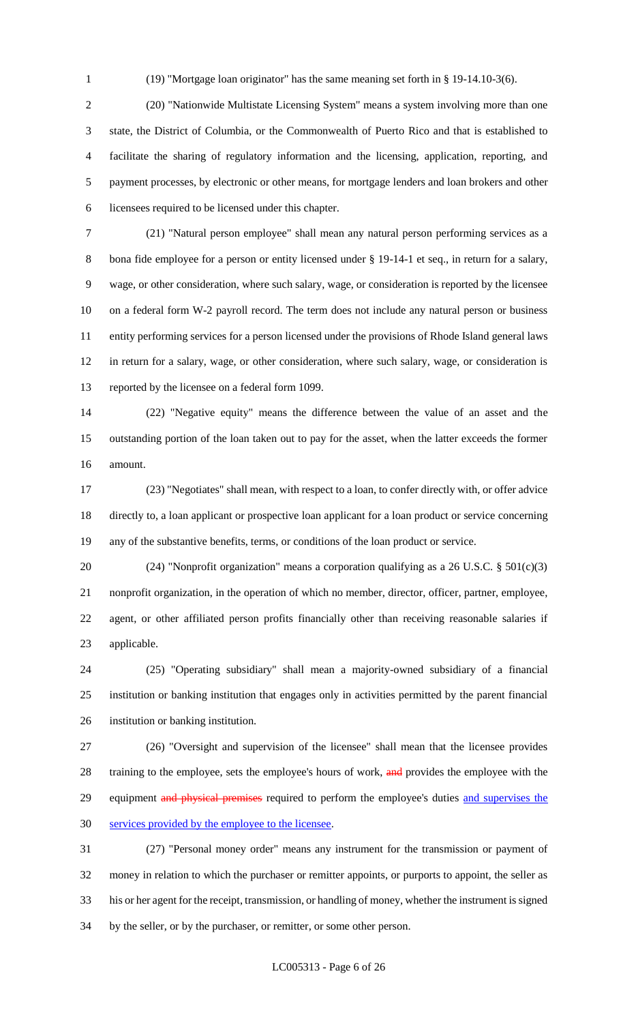(19) "Mortgage loan originator" has the same meaning set forth in § 19-14.10-3(6).

 (20) "Nationwide Multistate Licensing System" means a system involving more than one state, the District of Columbia, or the Commonwealth of Puerto Rico and that is established to facilitate the sharing of regulatory information and the licensing, application, reporting, and payment processes, by electronic or other means, for mortgage lenders and loan brokers and other licensees required to be licensed under this chapter.

 (21) "Natural person employee" shall mean any natural person performing services as a 8 bona fide employee for a person or entity licensed under § 19-14-1 et seq., in return for a salary, wage, or other consideration, where such salary, wage, or consideration is reported by the licensee on a federal form W-2 payroll record. The term does not include any natural person or business entity performing services for a person licensed under the provisions of Rhode Island general laws in return for a salary, wage, or other consideration, where such salary, wage, or consideration is reported by the licensee on a federal form 1099.

 (22) "Negative equity" means the difference between the value of an asset and the outstanding portion of the loan taken out to pay for the asset, when the latter exceeds the former amount.

 (23) "Negotiates" shall mean, with respect to a loan, to confer directly with, or offer advice directly to, a loan applicant or prospective loan applicant for a loan product or service concerning any of the substantive benefits, terms, or conditions of the loan product or service.

 (24) "Nonprofit organization" means a corporation qualifying as a 26 U.S.C. § 501(c)(3) nonprofit organization, in the operation of which no member, director, officer, partner, employee, agent, or other affiliated person profits financially other than receiving reasonable salaries if applicable.

 (25) "Operating subsidiary" shall mean a majority-owned subsidiary of a financial institution or banking institution that engages only in activities permitted by the parent financial institution or banking institution.

 (26) "Oversight and supervision of the licensee" shall mean that the licensee provides 28 training to the employee, sets the employee's hours of work, and provides the employee with the 29 equipment and physical premises required to perform the employee's duties and supervises the services provided by the employee to the licensee.

 (27) "Personal money order" means any instrument for the transmission or payment of money in relation to which the purchaser or remitter appoints, or purports to appoint, the seller as his or her agent for the receipt, transmission, or handling of money, whether the instrument is signed by the seller, or by the purchaser, or remitter, or some other person.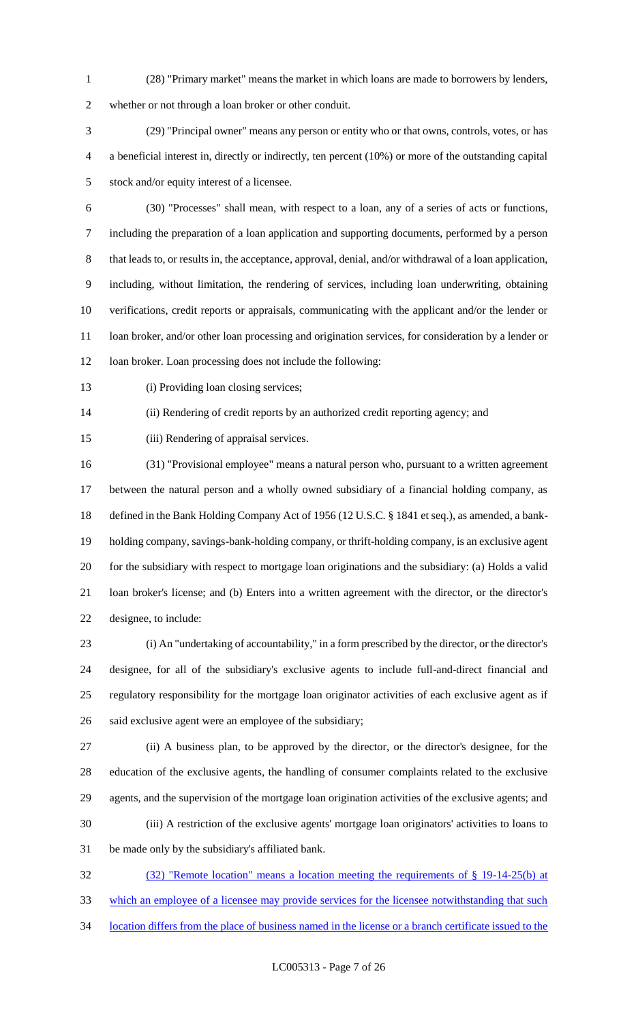(28) "Primary market" means the market in which loans are made to borrowers by lenders,

whether or not through a loan broker or other conduit.

 (29) "Principal owner" means any person or entity who or that owns, controls, votes, or has a beneficial interest in, directly or indirectly, ten percent (10%) or more of the outstanding capital stock and/or equity interest of a licensee.

- (30) "Processes" shall mean, with respect to a loan, any of a series of acts or functions, including the preparation of a loan application and supporting documents, performed by a person 8 that leads to, or results in, the acceptance, approval, denial, and/or withdrawal of a loan application, including, without limitation, the rendering of services, including loan underwriting, obtaining verifications, credit reports or appraisals, communicating with the applicant and/or the lender or loan broker, and/or other loan processing and origination services, for consideration by a lender or 12 loan broker. Loan processing does not include the following:
- 

13 (i) Providing loan closing services;

(ii) Rendering of credit reports by an authorized credit reporting agency; and

(iii) Rendering of appraisal services.

 (31) "Provisional employee" means a natural person who, pursuant to a written agreement between the natural person and a wholly owned subsidiary of a financial holding company, as defined in the Bank Holding Company Act of 1956 (12 U.S.C. § 1841 et seq.), as amended, a bank- holding company, savings-bank-holding company, or thrift-holding company, is an exclusive agent for the subsidiary with respect to mortgage loan originations and the subsidiary: (a) Holds a valid loan broker's license; and (b) Enters into a written agreement with the director, or the director's designee, to include:

 (i) An "undertaking of accountability," in a form prescribed by the director, or the director's designee, for all of the subsidiary's exclusive agents to include full-and-direct financial and regulatory responsibility for the mortgage loan originator activities of each exclusive agent as if said exclusive agent were an employee of the subsidiary;

 (ii) A business plan, to be approved by the director, or the director's designee, for the education of the exclusive agents, the handling of consumer complaints related to the exclusive agents, and the supervision of the mortgage loan origination activities of the exclusive agents; and (iii) A restriction of the exclusive agents' mortgage loan originators' activities to loans to be made only by the subsidiary's affiliated bank.

 (32) "Remote location" means a location meeting the requirements of § 19-14-25(b) at which an employee of a licensee may provide services for the licensee notwithstanding that such location differs from the place of business named in the license or a branch certificate issued to the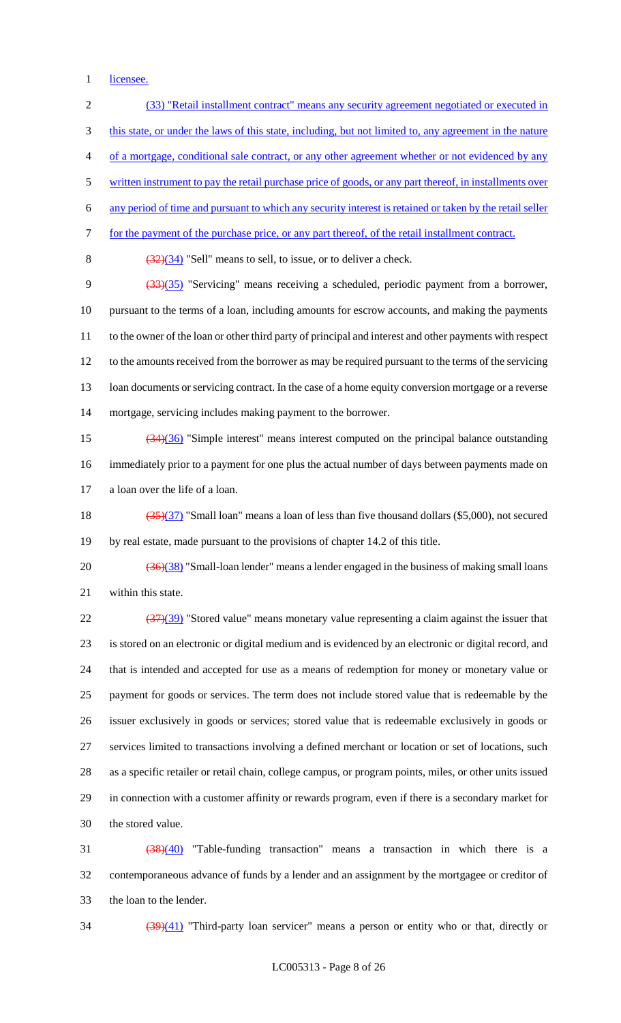1 licensee.

 (33) "Retail installment contract" means any security agreement negotiated or executed in 3 this state, or under the laws of this state, including, but not limited to, any agreement in the nature of a mortgage, conditional sale contract, or any other agreement whether or not evidenced by any 5 written instrument to pay the retail purchase price of goods, or any part thereof, in installments over any period of time and pursuant to which any security interest is retained or taken by the retail seller for the payment of the purchase price, or any part thereof, of the retail installment contract.  $(32)(34)$  "Sell" means to sell, to issue, or to deliver a check. (33)(35) "Servicing" means receiving a scheduled, periodic payment from a borrower, pursuant to the terms of a loan, including amounts for escrow accounts, and making the payments to the owner of the loan or other third party of principal and interest and other payments with respect to the amounts received from the borrower as may be required pursuant to the terms of the servicing 13 loan documents or servicing contract. In the case of a home equity conversion mortgage or a reverse mortgage, servicing includes making payment to the borrower. (34)(36) "Simple interest" means interest computed on the principal balance outstanding immediately prior to a payment for one plus the actual number of days between payments made on a loan over the life of a loan. (35)(37) "Small loan" means a loan of less than five thousand dollars (\$5,000), not secured by real estate, made pursuant to the provisions of chapter 14.2 of this title.  $(36)(38)$  "Small-loan lender" means a lender engaged in the business of making small loans within this state.  $\frac{(37)(39)}{22}$  "Stored value" means monetary value representing a claim against the issuer that is stored on an electronic or digital medium and is evidenced by an electronic or digital record, and that is intended and accepted for use as a means of redemption for money or monetary value or payment for goods or services. The term does not include stored value that is redeemable by the issuer exclusively in goods or services; stored value that is redeemable exclusively in goods or services limited to transactions involving a defined merchant or location or set of locations, such as a specific retailer or retail chain, college campus, or program points, miles, or other units issued in connection with a customer affinity or rewards program, even if there is a secondary market for the stored value. (38)(40) "Table-funding transaction" means a transaction in which there is a contemporaneous advance of funds by a lender and an assignment by the mortgagee or creditor of

the loan to the lender.

34 (39)(41) "Third-party loan servicer" means a person or entity who or that, directly or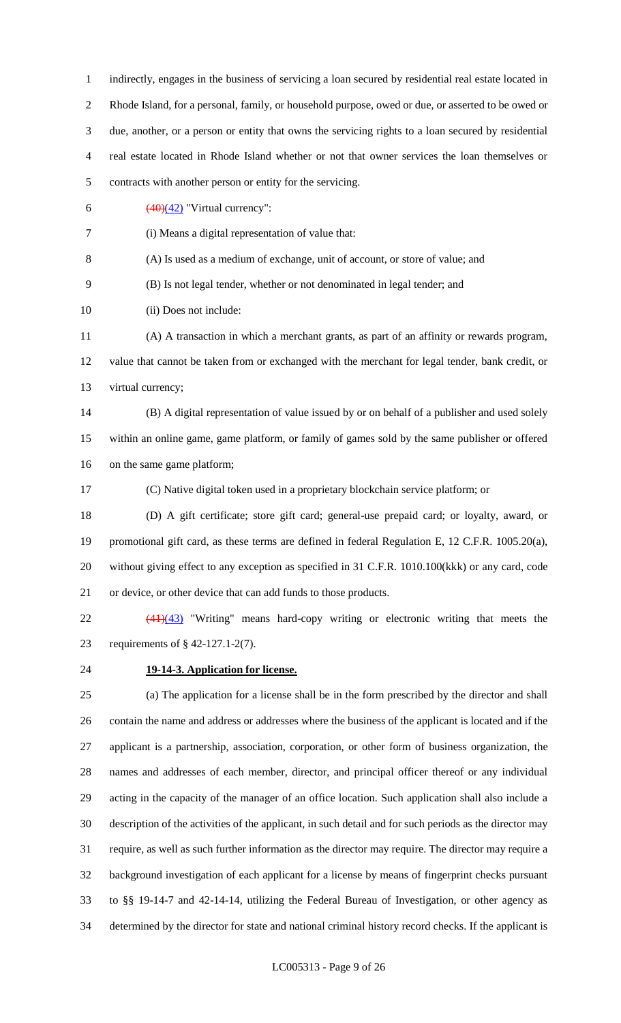indirectly, engages in the business of servicing a loan secured by residential real estate located in Rhode Island, for a personal, family, or household purpose, owed or due, or asserted to be owed or due, another, or a person or entity that owns the servicing rights to a loan secured by residential real estate located in Rhode Island whether or not that owner services the loan themselves or contracts with another person or entity for the servicing.  $\left(\frac{(40)(42)}{ } \right)$  "Virtual currency": (i) Means a digital representation of value that: (A) Is used as a medium of exchange, unit of account, or store of value; and (B) Is not legal tender, whether or not denominated in legal tender; and 10 (ii) Does not include: (A) A transaction in which a merchant grants, as part of an affinity or rewards program, value that cannot be taken from or exchanged with the merchant for legal tender, bank credit, or virtual currency; (B) A digital representation of value issued by or on behalf of a publisher and used solely within an online game, game platform, or family of games sold by the same publisher or offered on the same game platform; (C) Native digital token used in a proprietary blockchain service platform; or (D) A gift certificate; store gift card; general-use prepaid card; or loyalty, award, or promotional gift card, as these terms are defined in federal Regulation E, 12 C.F.R. 1005.20(a), without giving effect to any exception as specified in 31 C.F.R. 1010.100(kkk) or any card, code or device, or other device that can add funds to those products. (41)(43) "Writing" means hard-copy writing or electronic writing that meets the requirements of § 42-127.1-2(7). **19-14-3. Application for license.**

 (a) The application for a license shall be in the form prescribed by the director and shall contain the name and address or addresses where the business of the applicant is located and if the applicant is a partnership, association, corporation, or other form of business organization, the names and addresses of each member, director, and principal officer thereof or any individual acting in the capacity of the manager of an office location. Such application shall also include a description of the activities of the applicant, in such detail and for such periods as the director may require, as well as such further information as the director may require. The director may require a background investigation of each applicant for a license by means of fingerprint checks pursuant to §§ 19-14-7 and 42-14-14, utilizing the Federal Bureau of Investigation, or other agency as determined by the director for state and national criminal history record checks. If the applicant is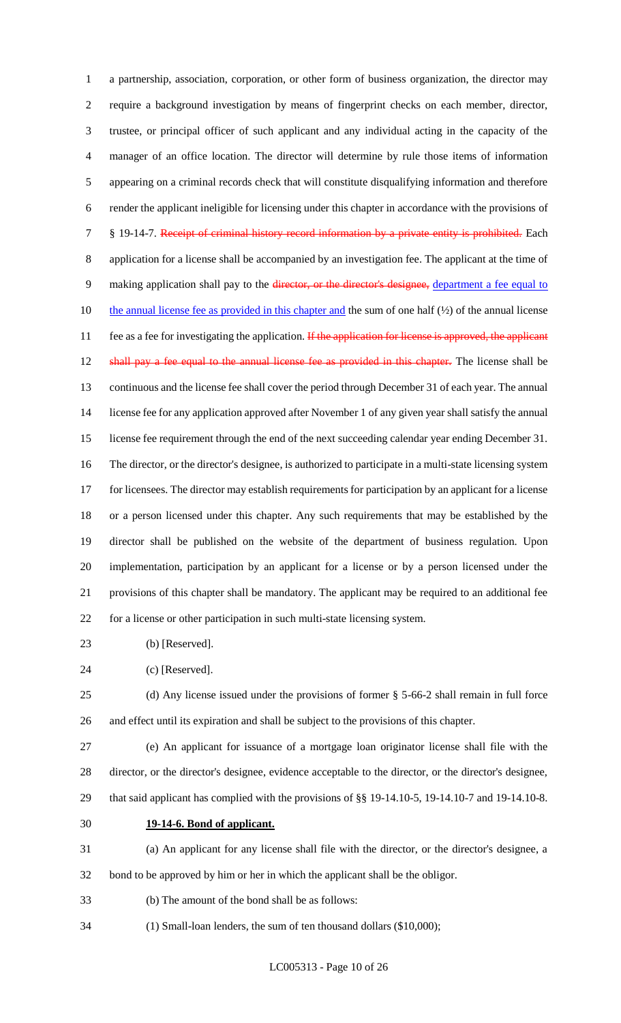a partnership, association, corporation, or other form of business organization, the director may require a background investigation by means of fingerprint checks on each member, director, trustee, or principal officer of such applicant and any individual acting in the capacity of the manager of an office location. The director will determine by rule those items of information appearing on a criminal records check that will constitute disqualifying information and therefore render the applicant ineligible for licensing under this chapter in accordance with the provisions of 7 § 19-14-7. Receipt of criminal history record information by a private entity is prohibited. Each application for a license shall be accompanied by an investigation fee. The applicant at the time of 9 making application shall pay to the director, or the director's designee, department a fee equal to 10 the annual license fee as provided in this chapter and the sum of one half  $(\frac{1}{2})$  of the annual license 11 fee as a fee for investigating the application. If the application for license is approved, the applicant 12 shall pay a fee equal to the annual license fee as provided in this chapter. The license shall be continuous and the license fee shall cover the period through December 31 of each year. The annual license fee for any application approved after November 1 of any given year shall satisfy the annual license fee requirement through the end of the next succeeding calendar year ending December 31. The director, or the director's designee, is authorized to participate in a multi-state licensing system 17 for licensees. The director may establish requirements for participation by an applicant for a license or a person licensed under this chapter. Any such requirements that may be established by the director shall be published on the website of the department of business regulation. Upon implementation, participation by an applicant for a license or by a person licensed under the provisions of this chapter shall be mandatory. The applicant may be required to an additional fee for a license or other participation in such multi-state licensing system.

- (b) [Reserved].
- (c) [Reserved].

 (d) Any license issued under the provisions of former § 5-66-2 shall remain in full force and effect until its expiration and shall be subject to the provisions of this chapter.

 (e) An applicant for issuance of a mortgage loan originator license shall file with the director, or the director's designee, evidence acceptable to the director, or the director's designee, that said applicant has complied with the provisions of §§ 19-14.10-5, 19-14.10-7 and 19-14.10-8.

**19-14-6. Bond of applicant.**

 (a) An applicant for any license shall file with the director, or the director's designee, a bond to be approved by him or her in which the applicant shall be the obligor.

- (b) The amount of the bond shall be as follows:
- (1) Small-loan lenders, the sum of ten thousand dollars (\$10,000);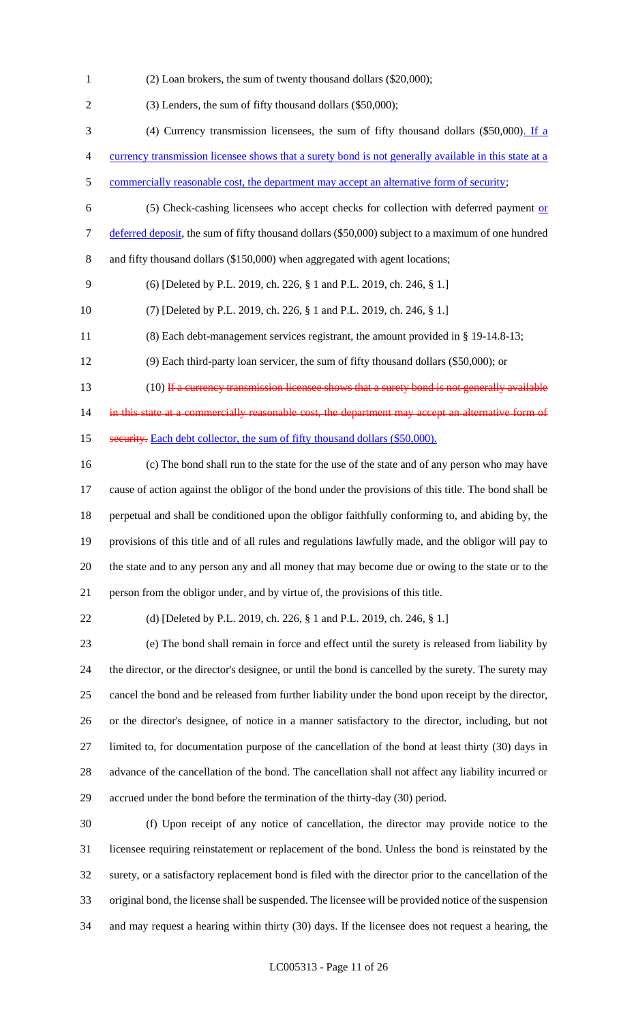(2) Loan brokers, the sum of twenty thousand dollars (\$20,000);

(3) Lenders, the sum of fifty thousand dollars (\$50,000);

(4) Currency transmission licensees, the sum of fifty thousand dollars (\$50,000). If a

currency transmission licensee shows that a surety bond is not generally available in this state at a

- 5 commercially reasonable cost, the department may accept an alternative form of security;
	-

 (5) Check-cashing licensees who accept checks for collection with deferred payment or 7 deferred deposit, the sum of fifty thousand dollars (\$50,000) subject to a maximum of one hundred and fifty thousand dollars (\$150,000) when aggregated with agent locations;

- (6) [Deleted by P.L. 2019, ch. 226, § 1 and P.L. 2019, ch. 246, § 1.]
- (7) [Deleted by P.L. 2019, ch. 226, § 1 and P.L. 2019, ch. 246, § 1.]
- (8) Each debt-management services registrant, the amount provided in § 19-14.8-13;
- (9) Each third-party loan servicer, the sum of fifty thousand dollars (\$50,000); or
- 13 (10) If a currency transmission licensee shows that a surety bond is not generally available

14 in this state at a commercially reasonable cost, the department may accept an alternative form of 15 security. Each debt collector, the sum of fifty thousand dollars (\$50,000).

 (c) The bond shall run to the state for the use of the state and of any person who may have cause of action against the obligor of the bond under the provisions of this title. The bond shall be perpetual and shall be conditioned upon the obligor faithfully conforming to, and abiding by, the provisions of this title and of all rules and regulations lawfully made, and the obligor will pay to the state and to any person any and all money that may become due or owing to the state or to the person from the obligor under, and by virtue of, the provisions of this title.

(d) [Deleted by P.L. 2019, ch. 226, § 1 and P.L. 2019, ch. 246, § 1.]

 (e) The bond shall remain in force and effect until the surety is released from liability by the director, or the director's designee, or until the bond is cancelled by the surety. The surety may cancel the bond and be released from further liability under the bond upon receipt by the director, or the director's designee, of notice in a manner satisfactory to the director, including, but not limited to, for documentation purpose of the cancellation of the bond at least thirty (30) days in advance of the cancellation of the bond. The cancellation shall not affect any liability incurred or accrued under the bond before the termination of the thirty-day (30) period.

 (f) Upon receipt of any notice of cancellation, the director may provide notice to the licensee requiring reinstatement or replacement of the bond. Unless the bond is reinstated by the surety, or a satisfactory replacement bond is filed with the director prior to the cancellation of the original bond, the license shall be suspended. The licensee will be provided notice of the suspension and may request a hearing within thirty (30) days. If the licensee does not request a hearing, the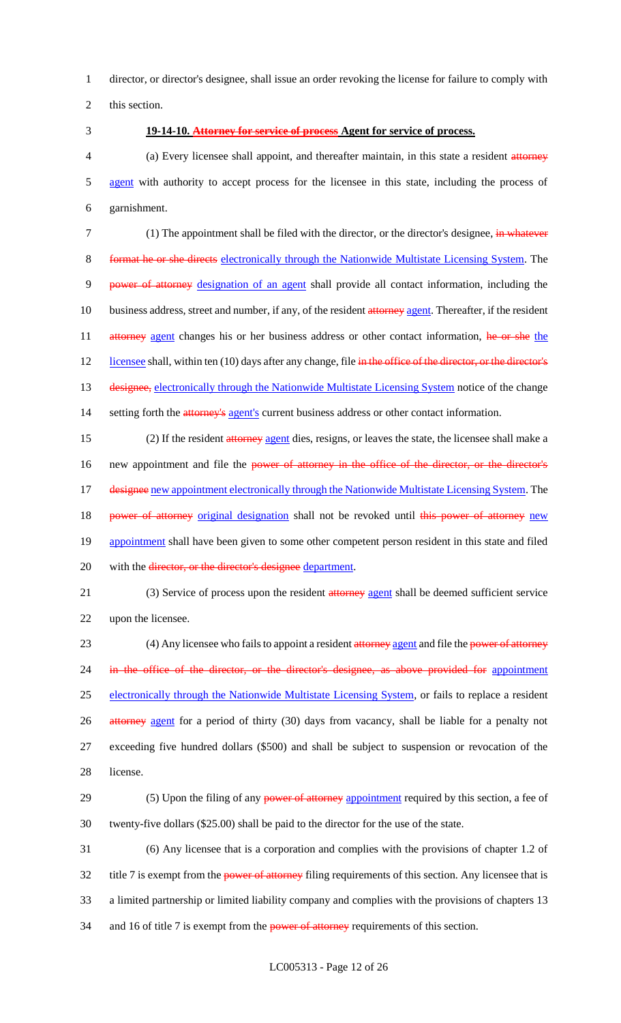1 director, or director's designee, shall issue an order revoking the license for failure to comply with

2 this section.

### 3 **19-14-10. Attorney for service of process Agent for service of process.**

4 (a) Every licensee shall appoint, and thereafter maintain, in this state a resident attorney 5 agent with authority to accept process for the licensee in this state, including the process of 6 garnishment.

7 (1) The appointment shall be filed with the director, or the director's designee, in whatever 8 format he or she directs electronically through the Nationwide Multistate Licensing System. The 9 power of attorney designation of an agent shall provide all contact information, including the 10 business address, street and number, if any, of the resident attorney agent. Thereafter, if the resident 11 attorney agent changes his or her business address or other contact information, he or she the 12 licensee shall, within ten (10) days after any change, file in the office of the director, or the director's 13 designee, electronically through the Nationwide Multistate Licensing System notice of the change 14 setting forth the attorney's agent's current business address or other contact information.

15 (2) If the resident attorney agent dies, resigns, or leaves the state, the licensee shall make a 16 new appointment and file the power of attorney in the office of the director, or the director's 17 designee new appointment electronically through the Nationwide Multistate Licensing System. The 18 power of attorney original designation shall not be revoked until this power of attorney new 19 appointment shall have been given to some other competent person resident in this state and filed 20 with the director, or the director's designee department.

21 (3) Service of process upon the resident attorney agent shall be deemed sufficient service 22 upon the licensee.

23 (4) Any licensee who fails to appoint a resident attorney agent and file the power of attorney 24 in the office of the director, or the director's designee, as above provided for appointment 25 electronically through the Nationwide Multistate Licensing System, or fails to replace a resident 26 attorney agent for a period of thirty (30) days from vacancy, shall be liable for a penalty not 27 exceeding five hundred dollars (\$500) and shall be subject to suspension or revocation of the 28 license.

29 (5) Upon the filing of any **power of attorney** appointment required by this section, a fee of 30 twenty-five dollars (\$25.00) shall be paid to the director for the use of the state.

31 (6) Any licensee that is a corporation and complies with the provisions of chapter 1.2 of 32 title 7 is exempt from the power of attorney filing requirements of this section. Any licensee that is 33 a limited partnership or limited liability company and complies with the provisions of chapters 13 34 and 16 of title 7 is exempt from the **power of attorney** requirements of this section.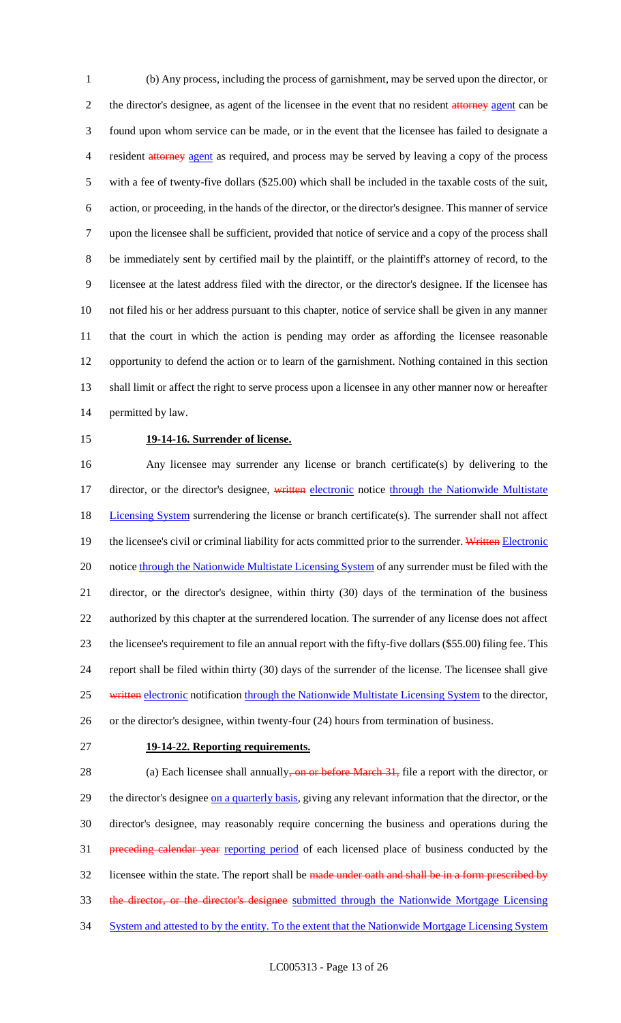(b) Any process, including the process of garnishment, may be served upon the director, or 2 the director's designee, as agent of the licensee in the event that no resident attorney agent can be found upon whom service can be made, or in the event that the licensee has failed to designate a 4 resident attorney agent as required, and process may be served by leaving a copy of the process with a fee of twenty-five dollars (\$25.00) which shall be included in the taxable costs of the suit, action, or proceeding, in the hands of the director, or the director's designee. This manner of service upon the licensee shall be sufficient, provided that notice of service and a copy of the process shall be immediately sent by certified mail by the plaintiff, or the plaintiff's attorney of record, to the licensee at the latest address filed with the director, or the director's designee. If the licensee has not filed his or her address pursuant to this chapter, notice of service shall be given in any manner that the court in which the action is pending may order as affording the licensee reasonable opportunity to defend the action or to learn of the garnishment. Nothing contained in this section shall limit or affect the right to serve process upon a licensee in any other manner now or hereafter permitted by law.

#### 15 **19-14-16. Surrender of license.**

16 Any licensee may surrender any license or branch certificate(s) by delivering to the 17 director, or the director's designee, written electronic notice through the Nationwide Multistate 18 Licensing System surrendering the license or branch certificate(s). The surrender shall not affect 19 the licensee's civil or criminal liability for acts committed prior to the surrender. Written Electronic 20 notice through the Nationwide Multistate Licensing System of any surrender must be filed with the 21 director, or the director's designee, within thirty (30) days of the termination of the business 22 authorized by this chapter at the surrendered location. The surrender of any license does not affect 23 the licensee's requirement to file an annual report with the fifty-five dollars (\$55.00) filing fee. This 24 report shall be filed within thirty (30) days of the surrender of the license. The licensee shall give 25 written electronic notification through the Nationwide Multistate Licensing System to the director, 26 or the director's designee, within twenty-four (24) hours from termination of business.

#### 27 **19-14-22. Reporting requirements.**

28 (a) Each licensee shall annually, on or before March 31, file a report with the director, or 29 the director's designee on a quarterly basis, giving any relevant information that the director, or the 30 director's designee, may reasonably require concerning the business and operations during the 31 preceding calendar year reporting period of each licensed place of business conducted by the 32 licensee within the state. The report shall be made under oath and shall be in a form prescribed by 33 the director, or the director's designee submitted through the Nationwide Mortgage Licensing 34 System and attested to by the entity. To the extent that the Nationwide Mortgage Licensing System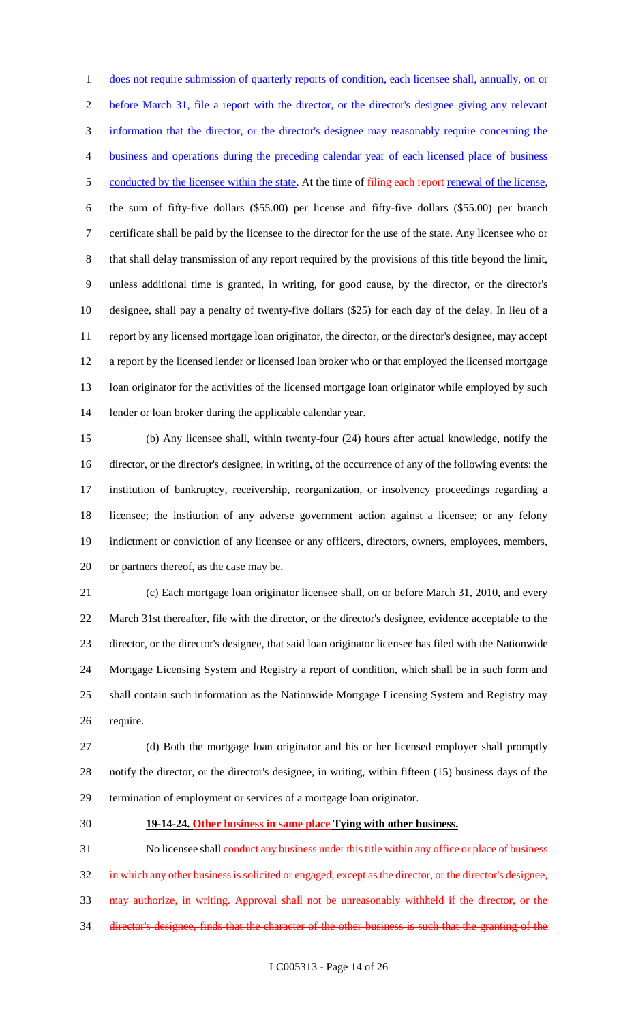does not require submission of quarterly reports of condition, each licensee shall, annually, on or before March 31, file a report with the director, or the director's designee giving any relevant information that the director, or the director's designee may reasonably require concerning the business and operations during the preceding calendar year of each licensed place of business 5 conducted by the licensee within the state. At the time of filing each report renewal of the license, the sum of fifty-five dollars (\$55.00) per license and fifty-five dollars (\$55.00) per branch certificate shall be paid by the licensee to the director for the use of the state. Any licensee who or that shall delay transmission of any report required by the provisions of this title beyond the limit, unless additional time is granted, in writing, for good cause, by the director, or the director's designee, shall pay a penalty of twenty-five dollars (\$25) for each day of the delay. In lieu of a report by any licensed mortgage loan originator, the director, or the director's designee, may accept a report by the licensed lender or licensed loan broker who or that employed the licensed mortgage loan originator for the activities of the licensed mortgage loan originator while employed by such lender or loan broker during the applicable calendar year.

 (b) Any licensee shall, within twenty-four (24) hours after actual knowledge, notify the director, or the director's designee, in writing, of the occurrence of any of the following events: the institution of bankruptcy, receivership, reorganization, or insolvency proceedings regarding a licensee; the institution of any adverse government action against a licensee; or any felony indictment or conviction of any licensee or any officers, directors, owners, employees, members, or partners thereof, as the case may be.

 (c) Each mortgage loan originator licensee shall, on or before March 31, 2010, and every March 31st thereafter, file with the director, or the director's designee, evidence acceptable to the director, or the director's designee, that said loan originator licensee has filed with the Nationwide Mortgage Licensing System and Registry a report of condition, which shall be in such form and shall contain such information as the Nationwide Mortgage Licensing System and Registry may require.

 (d) Both the mortgage loan originator and his or her licensed employer shall promptly notify the director, or the director's designee, in writing, within fifteen (15) business days of the termination of employment or services of a mortgage loan originator.

#### **19-14-24. Other business in same place Tying with other business.**

31 No licensee shall conduct any business under this title within any office or place of business 32 in which any other business is solicited or engaged, except as the director, or the director's designee, may authorize, in writing. Approval shall not be unreasonably withheld if the director, or the director's designee, finds that the character of the other business is such that the granting of the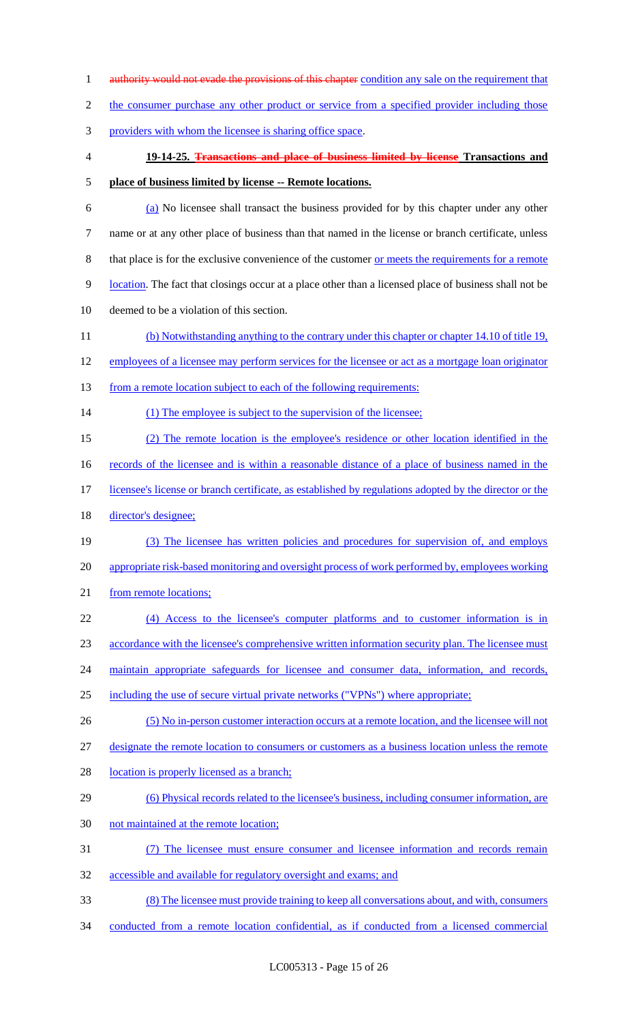1 authority would not evade the provisions of this chapter condition any sale on the requirement that 2 the consumer purchase any other product or service from a specified provider including those providers with whom the licensee is sharing office space. **19-14-25. Transactions and place of business limited by license Transactions and place of business limited by license -- Remote locations.** (a) No licensee shall transact the business provided for by this chapter under any other name or at any other place of business than that named in the license or branch certificate, unless 8 that place is for the exclusive convenience of the customer <u>or meets the requirements for a remote</u> location. The fact that closings occur at a place other than a licensed place of business shall not be deemed to be a violation of this section. (b) Notwithstanding anything to the contrary under this chapter or chapter 14.10 of title 19, employees of a licensee may perform services for the licensee or act as a mortgage loan originator 13 from a remote location subject to each of the following requirements: 14 (1) The employee is subject to the supervision of the licensee; (2) The remote location is the employee's residence or other location identified in the 16 records of the licensee and is within a reasonable distance of a place of business named in the 17 licensee's license or branch certificate, as established by regulations adopted by the director or the director's designee; (3) The licensee has written policies and procedures for supervision of, and employs appropriate risk-based monitoring and oversight process of work performed by, employees working 21 from remote locations; (4) Access to the licensee's computer platforms and to customer information is in 23 accordance with the licensee's comprehensive written information security plan. The licensee must 24 maintain appropriate safeguards for licensee and consumer data, information, and records, including the use of secure virtual private networks ("VPNs") where appropriate; (5) No in-person customer interaction occurs at a remote location, and the licensee will not designate the remote location to consumers or customers as a business location unless the remote 28 location is properly licensed as a branch; (6) Physical records related to the licensee's business, including consumer information, are not maintained at the remote location; (7) The licensee must ensure consumer and licensee information and records remain accessible and available for regulatory oversight and exams; and (8) The licensee must provide training to keep all conversations about, and with, consumers conducted from a remote location confidential, as if conducted from a licensed commercial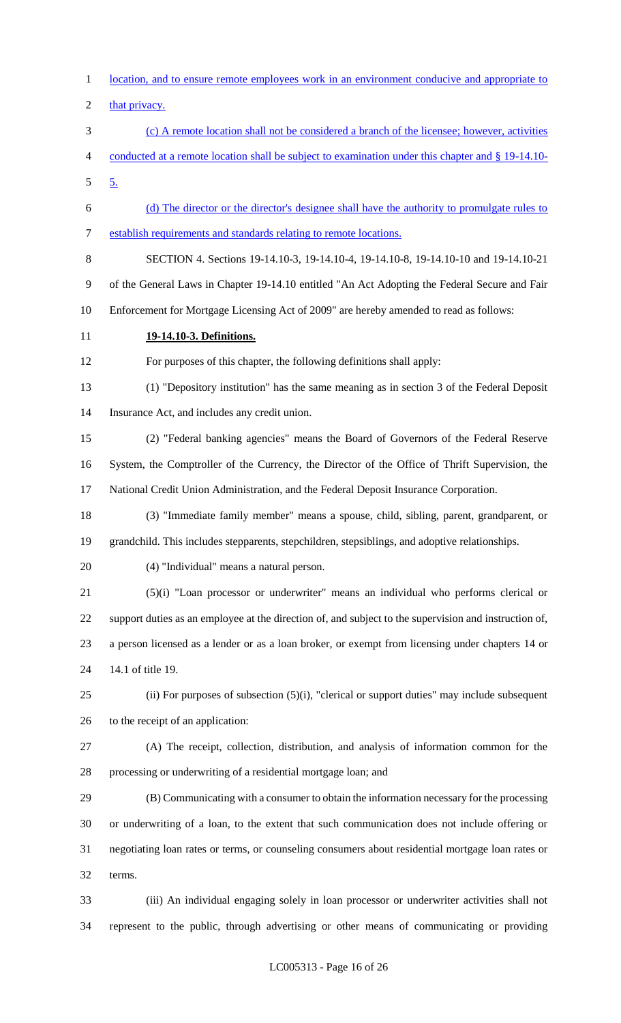location, and to ensure remote employees work in an environment conducive and appropriate to 2 that privacy. (c) A remote location shall not be considered a branch of the licensee; however, activities conducted at a remote location shall be subject to examination under this chapter and § 19-14.10- 5. (d) The director or the director's designee shall have the authority to promulgate rules to establish requirements and standards relating to remote locations. SECTION 4. Sections 19-14.10-3, 19-14.10-4, 19-14.10-8, 19-14.10-10 and 19-14.10-21 of the General Laws in Chapter 19-14.10 entitled "An Act Adopting the Federal Secure and Fair Enforcement for Mortgage Licensing Act of 2009" are hereby amended to read as follows: **19-14.10-3. Definitions.** For purposes of this chapter, the following definitions shall apply: (1) "Depository institution" has the same meaning as in section 3 of the Federal Deposit Insurance Act, and includes any credit union. (2) "Federal banking agencies" means the Board of Governors of the Federal Reserve System, the Comptroller of the Currency, the Director of the Office of Thrift Supervision, the National Credit Union Administration, and the Federal Deposit Insurance Corporation. (3) "Immediate family member" means a spouse, child, sibling, parent, grandparent, or grandchild. This includes stepparents, stepchildren, stepsiblings, and adoptive relationships. (4) "Individual" means a natural person. (5)(i) "Loan processor or underwriter" means an individual who performs clerical or support duties as an employee at the direction of, and subject to the supervision and instruction of, a person licensed as a lender or as a loan broker, or exempt from licensing under chapters 14 or 14.1 of title 19. (ii) For purposes of subsection (5)(i), "clerical or support duties" may include subsequent to the receipt of an application: (A) The receipt, collection, distribution, and analysis of information common for the processing or underwriting of a residential mortgage loan; and (B) Communicating with a consumer to obtain the information necessary for the processing or underwriting of a loan, to the extent that such communication does not include offering or negotiating loan rates or terms, or counseling consumers about residential mortgage loan rates or terms. (iii) An individual engaging solely in loan processor or underwriter activities shall not represent to the public, through advertising or other means of communicating or providing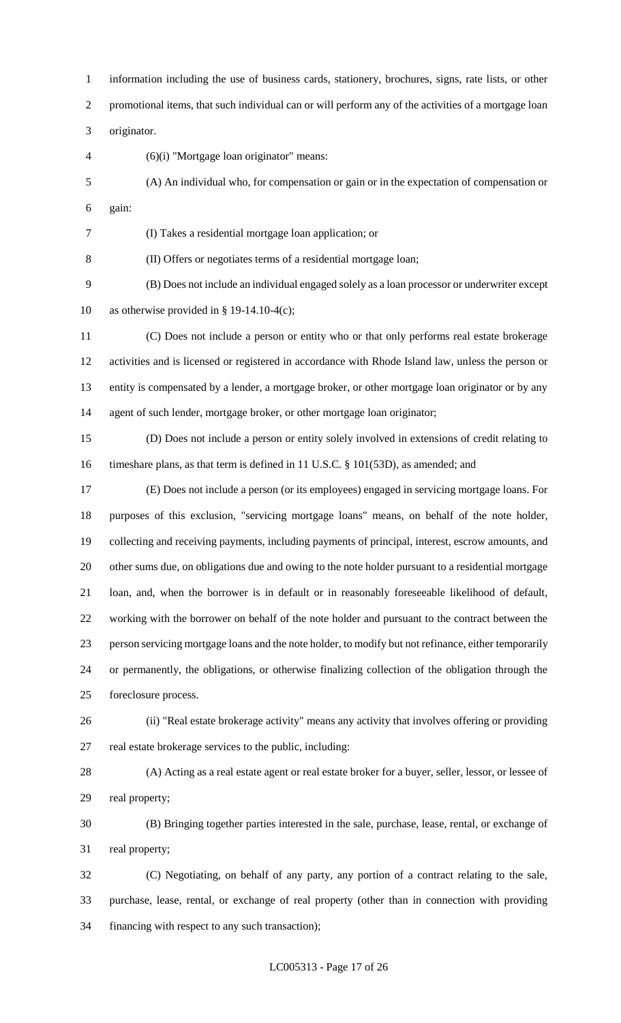information including the use of business cards, stationery, brochures, signs, rate lists, or other promotional items, that such individual can or will perform any of the activities of a mortgage loan originator. (6)(i) "Mortgage loan originator" means: (A) An individual who, for compensation or gain or in the expectation of compensation or gain: (I) Takes a residential mortgage loan application; or (II) Offers or negotiates terms of a residential mortgage loan; (B) Does not include an individual engaged solely as a loan processor or underwriter except as otherwise provided in § 19-14.10-4(c); (C) Does not include a person or entity who or that only performs real estate brokerage activities and is licensed or registered in accordance with Rhode Island law, unless the person or entity is compensated by a lender, a mortgage broker, or other mortgage loan originator or by any agent of such lender, mortgage broker, or other mortgage loan originator; (D) Does not include a person or entity solely involved in extensions of credit relating to timeshare plans, as that term is defined in 11 U.S.C. § 101(53D), as amended; and (E) Does not include a person (or its employees) engaged in servicing mortgage loans. For purposes of this exclusion, "servicing mortgage loans" means, on behalf of the note holder, collecting and receiving payments, including payments of principal, interest, escrow amounts, and other sums due, on obligations due and owing to the note holder pursuant to a residential mortgage loan, and, when the borrower is in default or in reasonably foreseeable likelihood of default, working with the borrower on behalf of the note holder and pursuant to the contract between the person servicing mortgage loans and the note holder, to modify but not refinance, either temporarily or permanently, the obligations, or otherwise finalizing collection of the obligation through the foreclosure process. (ii) "Real estate brokerage activity" means any activity that involves offering or providing real estate brokerage services to the public, including: (A) Acting as a real estate agent or real estate broker for a buyer, seller, lessor, or lessee of real property; (B) Bringing together parties interested in the sale, purchase, lease, rental, or exchange of real property; (C) Negotiating, on behalf of any party, any portion of a contract relating to the sale, purchase, lease, rental, or exchange of real property (other than in connection with providing financing with respect to any such transaction);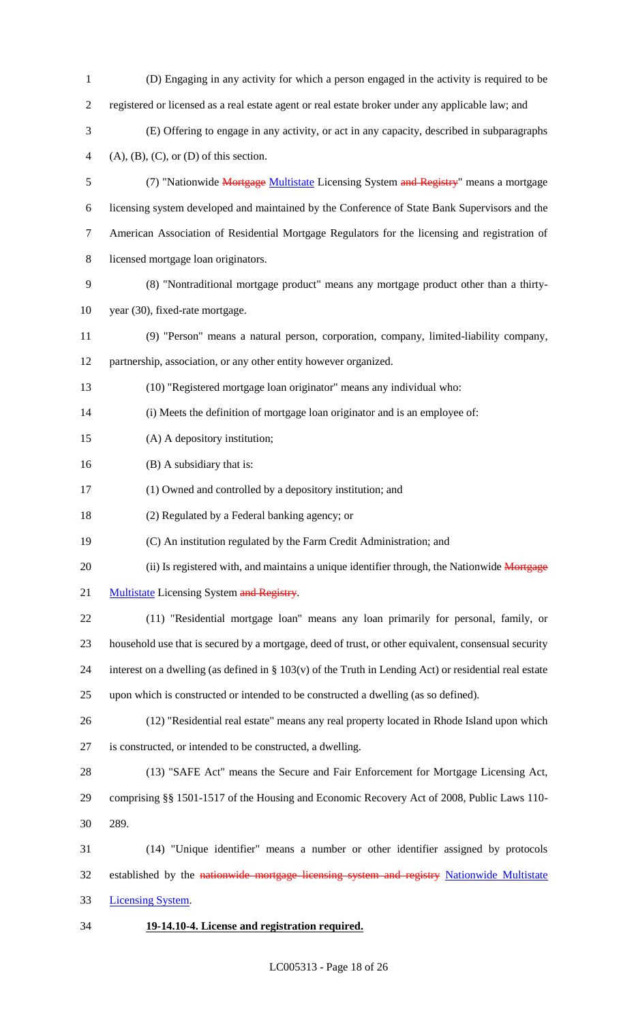| $\mathbf{1}$   | (D) Engaging in any activity for which a person engaged in the activity is required to be                 |
|----------------|-----------------------------------------------------------------------------------------------------------|
| $\mathbf{2}$   | registered or licensed as a real estate agent or real estate broker under any applicable law; and         |
| 3              | (E) Offering to engage in any activity, or act in any capacity, described in subparagraphs                |
| $\overline{4}$ | $(A), (B), (C),$ or $(D)$ of this section.                                                                |
| 5              | (7) "Nationwide <b>Mortgage Multistate</b> Licensing System and Registry" means a mortgage                |
| 6              | licensing system developed and maintained by the Conference of State Bank Supervisors and the             |
| $\tau$         | American Association of Residential Mortgage Regulators for the licensing and registration of             |
| 8              | licensed mortgage loan originators.                                                                       |
| 9              | (8) "Nontraditional mortgage product" means any mortgage product other than a thirty-                     |
| 10             | year (30), fixed-rate mortgage.                                                                           |
| 11             | (9) "Person" means a natural person, corporation, company, limited-liability company,                     |
| 12             | partnership, association, or any other entity however organized.                                          |
| 13             | (10) "Registered mortgage loan originator" means any individual who:                                      |
| 14             | (i) Meets the definition of mortgage loan originator and is an employee of:                               |
| 15             | (A) A depository institution;                                                                             |
| 16             | (B) A subsidiary that is:                                                                                 |
| 17             | (1) Owned and controlled by a depository institution; and                                                 |
| 18             | (2) Regulated by a Federal banking agency; or                                                             |
| 19             | (C) An institution regulated by the Farm Credit Administration; and                                       |
| 20             | (ii) Is registered with, and maintains a unique identifier through, the Nationwide Mortgage               |
| 21             | <b>Multistate Licensing System and Registry.</b>                                                          |
| 22             | (11) "Residential mortgage loan" means any loan primarily for personal, family, or                        |
| 23             | household use that is secured by a mortgage, deed of trust, or other equivalent, consensual security      |
| 24             | interest on a dwelling (as defined in $\S 103(v)$ of the Truth in Lending Act) or residential real estate |
| 25             | upon which is constructed or intended to be constructed a dwelling (as so defined).                       |
| 26             | (12) "Residential real estate" means any real property located in Rhode Island upon which                 |
| 27             | is constructed, or intended to be constructed, a dwelling.                                                |
| 28             | (13) "SAFE Act" means the Secure and Fair Enforcement for Mortgage Licensing Act,                         |
| 29             | comprising §§ 1501-1517 of the Housing and Economic Recovery Act of 2008, Public Laws 110-                |
| 30             | 289.                                                                                                      |
| 31             | (14) "Unique identifier" means a number or other identifier assigned by protocols                         |
| 32             | established by the nationwide mortgage licensing system and registry Nationwide Multistate                |
| 33             | <b>Licensing System.</b>                                                                                  |
| 34             | 19-14.10-4. License and registration required.                                                            |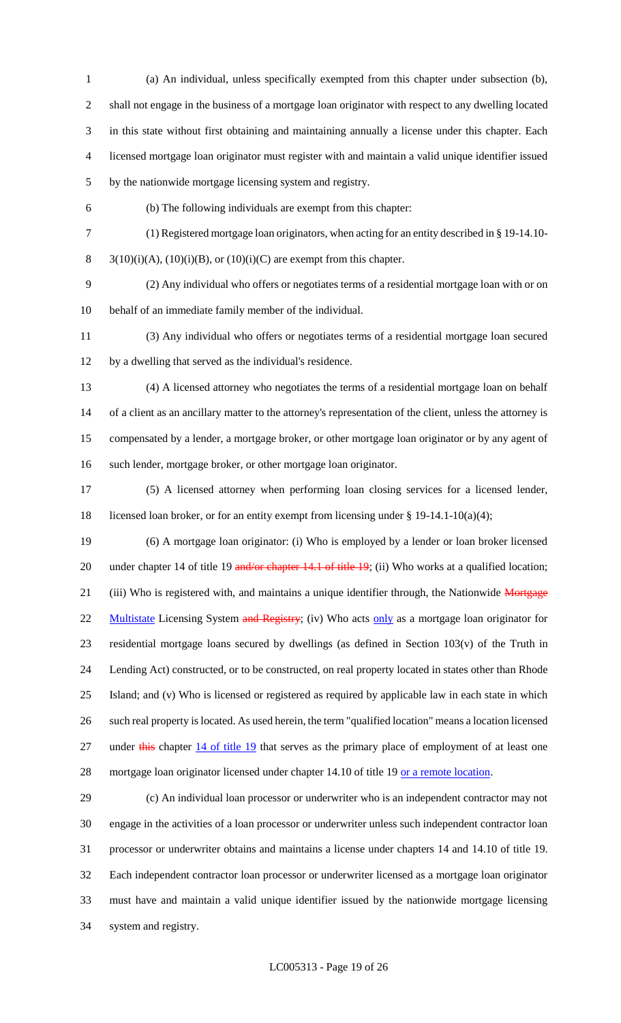(a) An individual, unless specifically exempted from this chapter under subsection (b), shall not engage in the business of a mortgage loan originator with respect to any dwelling located in this state without first obtaining and maintaining annually a license under this chapter. Each licensed mortgage loan originator must register with and maintain a valid unique identifier issued by the nationwide mortgage licensing system and registry.

(b) The following individuals are exempt from this chapter:

(1) Registered mortgage loan originators, when acting for an entity described in § 19-14.10-

8  $3(10)(i)(A)$ ,  $(10)(i)(B)$ , or  $(10)(i)(C)$  are exempt from this chapter.

 (2) Any individual who offers or negotiates terms of a residential mortgage loan with or on behalf of an immediate family member of the individual.

 (3) Any individual who offers or negotiates terms of a residential mortgage loan secured by a dwelling that served as the individual's residence.

 (4) A licensed attorney who negotiates the terms of a residential mortgage loan on behalf of a client as an ancillary matter to the attorney's representation of the client, unless the attorney is compensated by a lender, a mortgage broker, or other mortgage loan originator or by any agent of such lender, mortgage broker, or other mortgage loan originator.

 (5) A licensed attorney when performing loan closing services for a licensed lender, licensed loan broker, or for an entity exempt from licensing under § 19-14.1-10(a)(4);

 (6) A mortgage loan originator: (i) Who is employed by a lender or loan broker licensed 20 under chapter 14 of title 19 and/or chapter 14.1 of title 19; (ii) Who works at a qualified location; 21 (iii) Who is registered with, and maintains a unique identifier through, the Nationwide Mortgage 22 Multistate Licensing System and Registry; (iv) Who acts only as a mortgage loan originator for residential mortgage loans secured by dwellings (as defined in Section 103(v) of the Truth in Lending Act) constructed, or to be constructed, on real property located in states other than Rhode Island; and (v) Who is licensed or registered as required by applicable law in each state in which such real property is located. As used herein, the term "qualified location" means a location licensed 27 under this chapter 14 of title 19 that serves as the primary place of employment of at least one 28 mortgage loan originator licensed under chapter 14.10 of title 19 or a remote location.

 (c) An individual loan processor or underwriter who is an independent contractor may not engage in the activities of a loan processor or underwriter unless such independent contractor loan processor or underwriter obtains and maintains a license under chapters 14 and 14.10 of title 19. Each independent contractor loan processor or underwriter licensed as a mortgage loan originator must have and maintain a valid unique identifier issued by the nationwide mortgage licensing system and registry.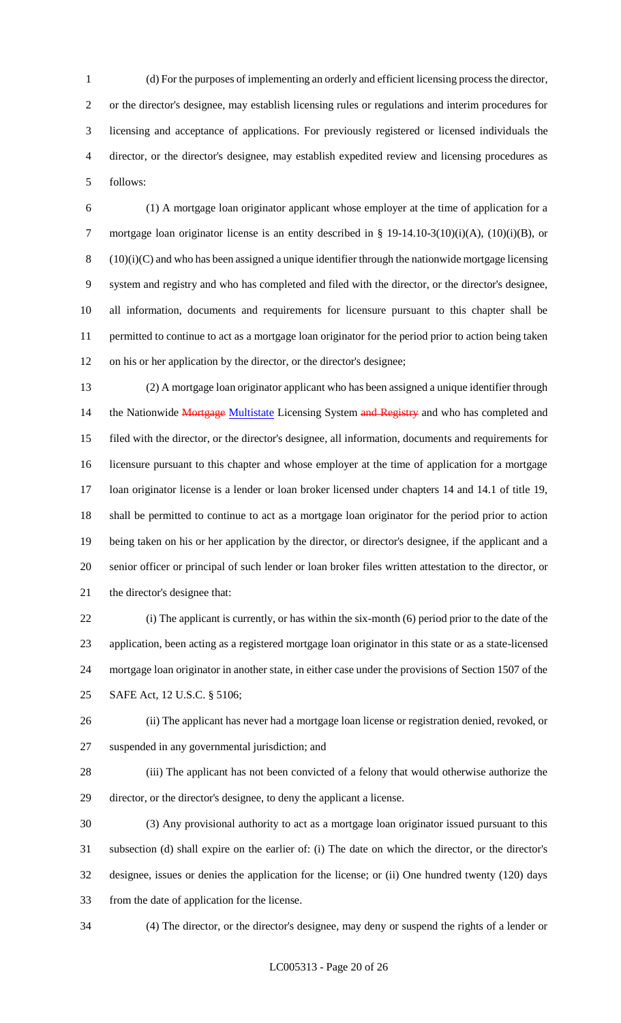(d) For the purposes of implementing an orderly and efficient licensing process the director, or the director's designee, may establish licensing rules or regulations and interim procedures for licensing and acceptance of applications. For previously registered or licensed individuals the director, or the director's designee, may establish expedited review and licensing procedures as follows:

 (1) A mortgage loan originator applicant whose employer at the time of application for a 7 mortgage loan originator license is an entity described in § 19-14.10-3(10)(i)(A), (10)(i)(B), or (10)(i)(C) and who has been assigned a unique identifier through the nationwide mortgage licensing system and registry and who has completed and filed with the director, or the director's designee, all information, documents and requirements for licensure pursuant to this chapter shall be permitted to continue to act as a mortgage loan originator for the period prior to action being taken on his or her application by the director, or the director's designee;

 (2) A mortgage loan originator applicant who has been assigned a unique identifier through 14 the Nationwide Mortgage Multistate Licensing System and Registry and who has completed and filed with the director, or the director's designee, all information, documents and requirements for licensure pursuant to this chapter and whose employer at the time of application for a mortgage loan originator license is a lender or loan broker licensed under chapters 14 and 14.1 of title 19, shall be permitted to continue to act as a mortgage loan originator for the period prior to action being taken on his or her application by the director, or director's designee, if the applicant and a senior officer or principal of such lender or loan broker files written attestation to the director, or the director's designee that:

 (i) The applicant is currently, or has within the six-month (6) period prior to the date of the application, been acting as a registered mortgage loan originator in this state or as a state-licensed mortgage loan originator in another state, in either case under the provisions of Section 1507 of the SAFE Act, 12 U.S.C. § 5106;

 (ii) The applicant has never had a mortgage loan license or registration denied, revoked, or suspended in any governmental jurisdiction; and

 (iii) The applicant has not been convicted of a felony that would otherwise authorize the director, or the director's designee, to deny the applicant a license.

 (3) Any provisional authority to act as a mortgage loan originator issued pursuant to this subsection (d) shall expire on the earlier of: (i) The date on which the director, or the director's designee, issues or denies the application for the license; or (ii) One hundred twenty (120) days from the date of application for the license.

(4) The director, or the director's designee, may deny or suspend the rights of a lender or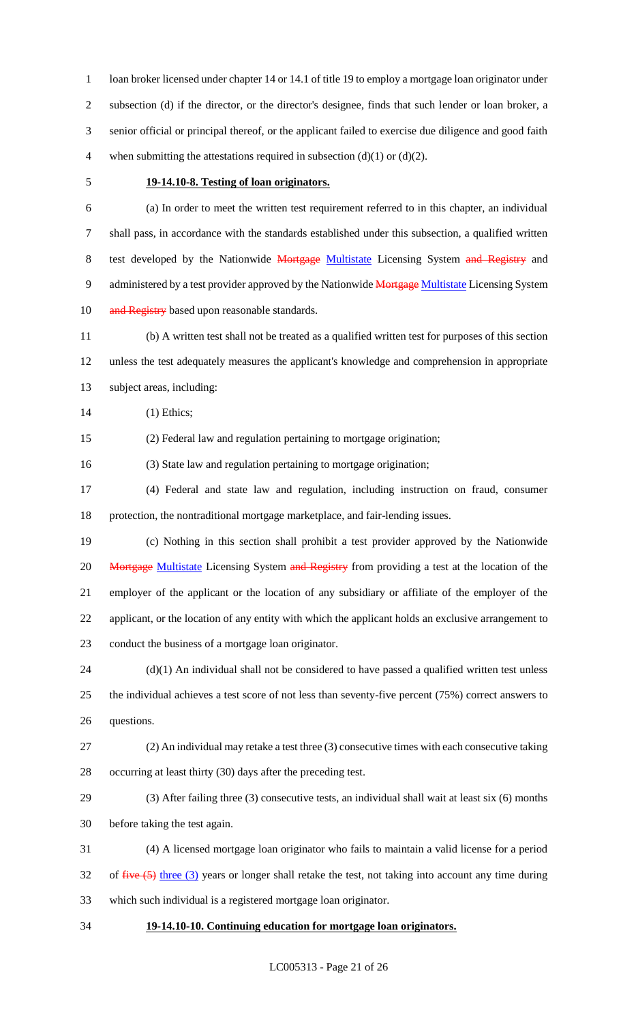1 loan broker licensed under chapter 14 or 14.1 of title 19 to employ a mortgage loan originator under subsection (d) if the director, or the director's designee, finds that such lender or loan broker, a senior official or principal thereof, or the applicant failed to exercise due diligence and good faith 4 when submitting the attestations required in subsection  $(d)(1)$  or  $(d)(2)$ .

## **19-14.10-8. Testing of loan originators.**

 (a) In order to meet the written test requirement referred to in this chapter, an individual shall pass, in accordance with the standards established under this subsection, a qualified written 8 test developed by the Nationwide Mortgage Multistate Licensing System and Registry and 9 administered by a test provider approved by the Nationwide Mortgage Multistate Licensing System 10 and Registry based upon reasonable standards.

 (b) A written test shall not be treated as a qualified written test for purposes of this section unless the test adequately measures the applicant's knowledge and comprehension in appropriate subject areas, including:

(1) Ethics;

(2) Federal law and regulation pertaining to mortgage origination;

(3) State law and regulation pertaining to mortgage origination;

 (4) Federal and state law and regulation, including instruction on fraud, consumer protection, the nontraditional mortgage marketplace, and fair-lending issues.

 (c) Nothing in this section shall prohibit a test provider approved by the Nationwide 20 Mortgage Multistate Licensing System and Registry from providing a test at the location of the employer of the applicant or the location of any subsidiary or affiliate of the employer of the applicant, or the location of any entity with which the applicant holds an exclusive arrangement to conduct the business of a mortgage loan originator.

 (d)(1) An individual shall not be considered to have passed a qualified written test unless the individual achieves a test score of not less than seventy-five percent (75%) correct answers to questions.

- (2) An individual may retake a test three (3) consecutive times with each consecutive taking occurring at least thirty (30) days after the preceding test.
- (3) After failing three (3) consecutive tests, an individual shall wait at least six (6) months before taking the test again.

 (4) A licensed mortgage loan originator who fails to maintain a valid license for a period of five  $(5)$  three  $(3)$  years or longer shall retake the test, not taking into account any time during which such individual is a registered mortgage loan originator.

**19-14.10-10. Continuing education for mortgage loan originators.**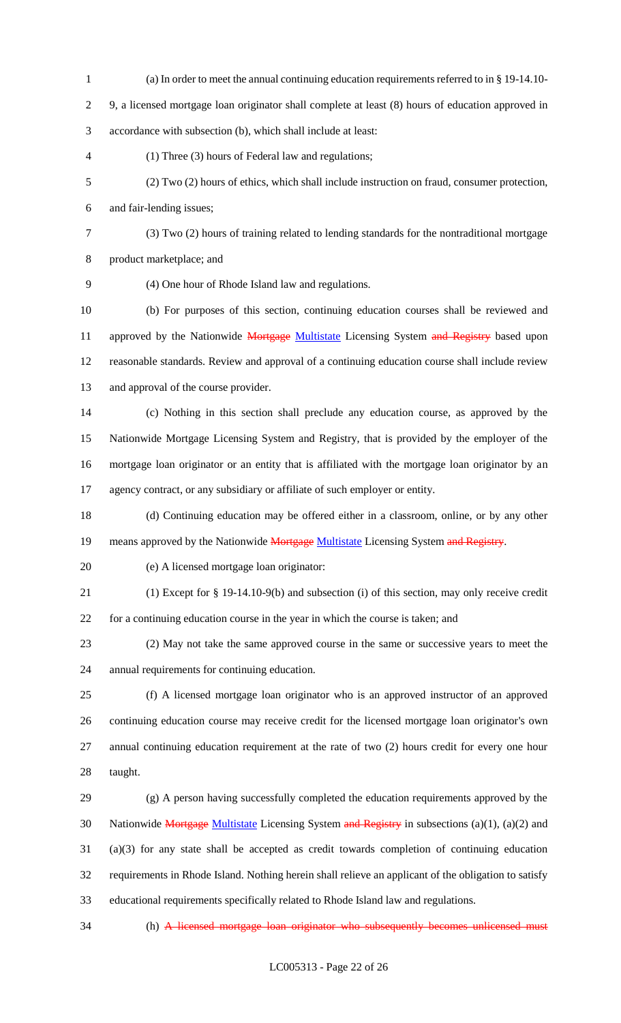- (a) In order to meet the annual continuing education requirements referred to in § 19-14.10- 9, a licensed mortgage loan originator shall complete at least (8) hours of education approved in accordance with subsection (b), which shall include at least: (1) Three (3) hours of Federal law and regulations; (2) Two (2) hours of ethics, which shall include instruction on fraud, consumer protection, and fair-lending issues; (3) Two (2) hours of training related to lending standards for the nontraditional mortgage product marketplace; and (4) One hour of Rhode Island law and regulations. (b) For purposes of this section, continuing education courses shall be reviewed and 11 approved by the Nationwide Mortgage Multistate Licensing System and Registry based upon reasonable standards. Review and approval of a continuing education course shall include review and approval of the course provider. (c) Nothing in this section shall preclude any education course, as approved by the Nationwide Mortgage Licensing System and Registry, that is provided by the employer of the mortgage loan originator or an entity that is affiliated with the mortgage loan originator by an agency contract, or any subsidiary or affiliate of such employer or entity. (d) Continuing education may be offered either in a classroom, online, or by any other 19 means approved by the Nationwide Mortgage Multistate Licensing System and Registry. (e) A licensed mortgage loan originator: (1) Except for § 19-14.10-9(b) and subsection (i) of this section, may only receive credit for a continuing education course in the year in which the course is taken; and (2) May not take the same approved course in the same or successive years to meet the annual requirements for continuing education. (f) A licensed mortgage loan originator who is an approved instructor of an approved continuing education course may receive credit for the licensed mortgage loan originator's own annual continuing education requirement at the rate of two (2) hours credit for every one hour taught. (g) A person having successfully completed the education requirements approved by the 30 Nationwide Mortgage Multistate Licensing System and Registry in subsections (a)(1), (a)(2) and (a)(3) for any state shall be accepted as credit towards completion of continuing education
- requirements in Rhode Island. Nothing herein shall relieve an applicant of the obligation to satisfy educational requirements specifically related to Rhode Island law and regulations.
- 

(h) A licensed mortgage loan originator who subsequently becomes unlicensed must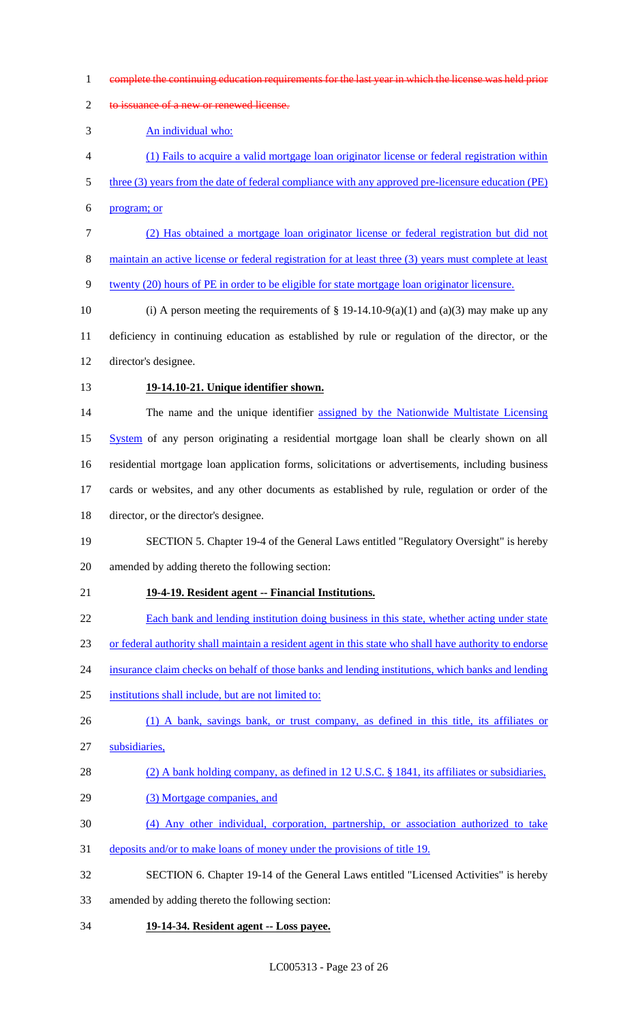- complete the continuing education requirements for the last year in which the license was held prior
- 2 to issuance of a new or renewed license.

An individual who:

- (1) Fails to acquire a valid mortgage loan originator license or federal registration within
- 5 three (3) years from the date of federal compliance with any approved pre-licensure education (PE)
- program; or
- (2) Has obtained a mortgage loan originator license or federal registration but did not
- 8 maintain an active license or federal registration for at least three (3) years must complete at least
- twenty (20) hours of PE in order to be eligible for state mortgage loan originator licensure.
- 10 (i) A person meeting the requirements of  $\S$  19-14.10-9(a)(1) and (a)(3) may make up any deficiency in continuing education as established by rule or regulation of the director, or the director's designee.
- 

# **19-14.10-21. Unique identifier shown.**

 The name and the unique identifier assigned by the Nationwide Multistate Licensing 15 System of any person originating a residential mortgage loan shall be clearly shown on all residential mortgage loan application forms, solicitations or advertisements, including business cards or websites, and any other documents as established by rule, regulation or order of the

director, or the director's designee.

# SECTION 5. Chapter 19-4 of the General Laws entitled "Regulatory Oversight" is hereby amended by adding thereto the following section:

# **19-4-19. Resident agent -- Financial Institutions.**

- Each bank and lending institution doing business in this state, whether acting under state
- or federal authority shall maintain a resident agent in this state who shall have authority to endorse
- insurance claim checks on behalf of those banks and lending institutions, which banks and lending
- institutions shall include, but are not limited to:
- 26 (1) A bank, savings bank, or trust company, as defined in this title, its affiliates or
- subsidiaries,

```
28 (2) A bank holding company, as defined in 12 U.S.C. § 1841, its affiliates or subsidiaries,
```
- 29 (3) Mortgage companies, and
- (4) Any other individual, corporation, partnership, or association authorized to take
- deposits and/or to make loans of money under the provisions of title 19.
- SECTION 6. Chapter 19-14 of the General Laws entitled "Licensed Activities" is hereby
- amended by adding thereto the following section:
- **19-14-34. Resident agent -- Loss payee.**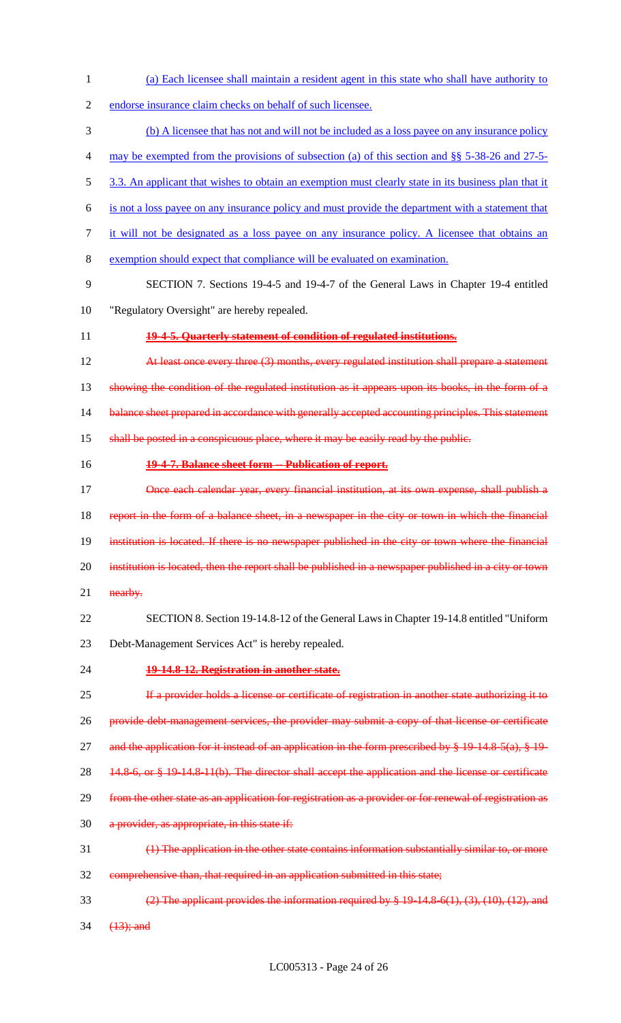- (a) Each licensee shall maintain a resident agent in this state who shall have authority to
- endorse insurance claim checks on behalf of such licensee.
- (b) A licensee that has not and will not be included as a loss payee on any insurance policy
- may be exempted from the provisions of subsection (a) of this section and §§ 5-38-26 and 27-5-
- 5 3.3. An applicant that wishes to obtain an exemption must clearly state in its business plan that it
- is not a loss payee on any insurance policy and must provide the department with a statement that
- it will not be designated as a loss payee on any insurance policy. A licensee that obtains an
- exemption should expect that compliance will be evaluated on examination.
- SECTION 7. Sections 19-4-5 and 19-4-7 of the General Laws in Chapter 19-4 entitled
- "Regulatory Oversight" are hereby repealed.
- **19-4-5. Quarterly statement of condition of regulated institutions.**

**At least once every three (3) months, every regulated institution shall prepare a statement** 13 showing the condition of the regulated institution as it appears upon its books, in the form of a 14 balance sheet prepared in accordance with generally accepted accounting principles. This statement 15 shall be posted in a conspicuous place, where it may be easily read by the public.

- **19-4-7. Balance sheet form -- Publication of report.**
- **Once each calendar year, every financial institution, at its own expense, shall publish a**  report in the form of a balance sheet, in a newspaper in the city or town in which the financial institution is located. If there is no newspaper published in the city or town where the financial 20 institution is located, then the report shall be published in a newspaper published in a city or town 21 nearby.
- SECTION 8. Section 19-14.8-12 of the General Laws in Chapter 19-14.8 entitled "Uniform
- Debt-Management Services Act" is hereby repealed.
- 

# **19-14.8-12. Registration in another state.**

- 25 If a provider holds a license or certificate of registration in another state authorizing it to provide debt-management services, the provider may submit a copy of that license or certificate 27 and the application for it instead of an application in the form prescribed by  $\frac{1}{2}$  19-14.8-5(a),  $\frac{1}{2}$  19-28 14.8-6, or § 19-14.8-11(b). The director shall accept the application and the license or certificate from the other state as an application for registration as a provider or for renewal of registration as 30 a provider, as appropriate, in this state if: (1) The application in the other state contains information substantially similar to, or more comprehensive than, that required in an application submitted in this state;
- 33 (2) The applicant provides the information required by  $\S$  19-14.8-6(1), (3), (10), (12), and 34 (13); and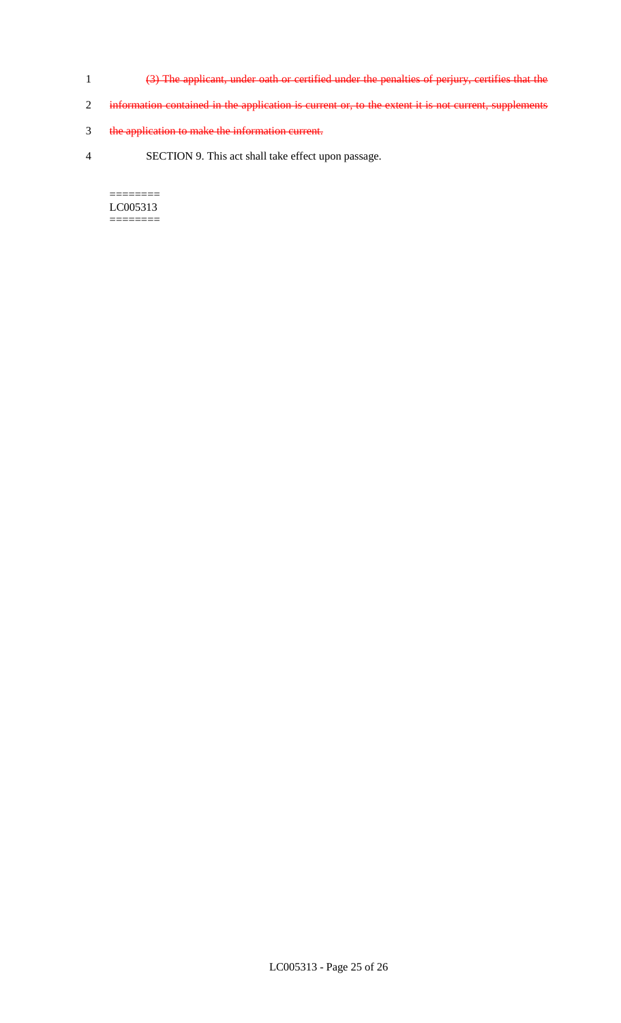- 1 (3) The applicant, under oath or certified under the penalties of perjury, certifies that the
- 2 information contained in the application is current or, to the extent it is not current, supplements
- 3 the application to make the information current.
- 4 SECTION 9. This act shall take effect upon passage.

======== LC005313 ========